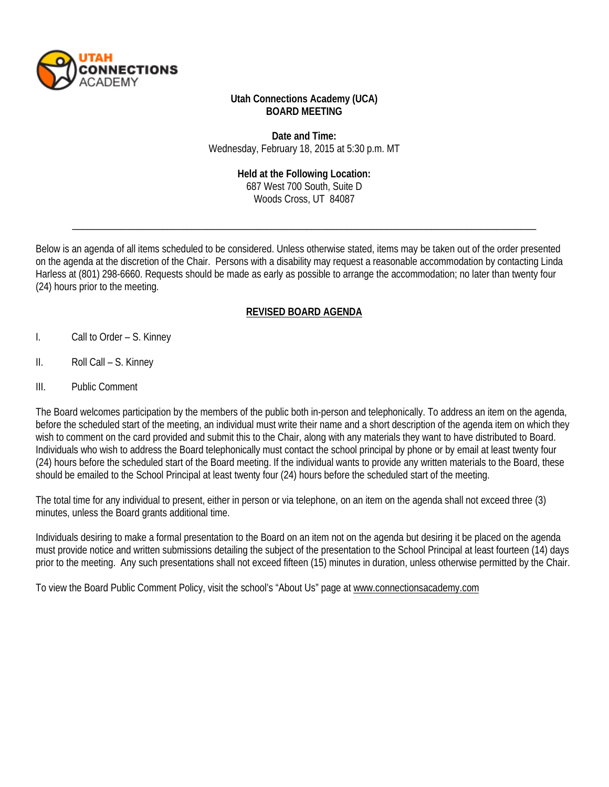

### **Utah Connections Academy (UCA) BOARD MEETING**

**Date and Time:** Wednesday, February 18, 2015 at 5:30 p.m. MT

#### **Held at the Following Location:**

687 West 700 South, Suite D Woods Cross, UT 84087

\_\_\_\_\_\_\_\_\_\_\_\_\_\_\_\_\_\_\_\_\_\_\_\_\_\_\_\_\_\_\_\_\_\_\_\_\_\_\_\_\_\_\_\_\_\_\_\_\_\_\_\_\_\_\_\_\_\_\_\_\_\_\_\_\_\_\_\_\_\_\_\_\_\_\_\_\_\_\_\_\_\_\_\_\_\_\_\_\_\_\_\_\_

Below is an agenda of all items scheduled to be considered. Unless otherwise stated, items may be taken out of the order presented on the agenda at the discretion of the Chair. Persons with a disability may request a reasonable accommodation by contacting Linda Harless at (801) 298-6660. Requests should be made as early as possible to arrange the accommodation; no later than twenty four (24) hours prior to the meeting.

# **REVISED BOARD AGENDA**

- I. Call to Order S. Kinney
- II. Roll Call S. Kinney
- III. Public Comment

The Board welcomes participation by the members of the public both in-person and telephonically. To address an item on the agenda, before the scheduled start of the meeting, an individual must write their name and a short description of the agenda item on which they wish to comment on the card provided and submit this to the Chair, along with any materials they want to have distributed to Board. Individuals who wish to address the Board telephonically must contact the school principal by phone or by email at least twenty four (24) hours before the scheduled start of the Board meeting. If the individual wants to provide any written materials to the Board, these should be emailed to the School Principal at least twenty four (24) hours before the scheduled start of the meeting.

The total time for any individual to present, either in person or via telephone, on an item on the agenda shall not exceed three (3) minutes, unless the Board grants additional time.

Individuals desiring to make a formal presentation to the Board on an item not on the agenda but desiring it be placed on the agenda must provide notice and written submissions detailing the subject of the presentation to the School Principal at least fourteen (14) days prior to the meeting. Any such presentations shall not exceed fifteen (15) minutes in duration, unless otherwise permitted by the Chair.

To view the Board Public Comment Policy, visit the school's "About Us" page at [www.connectionsacademy.com](http://www.connectionsacademy.com/)